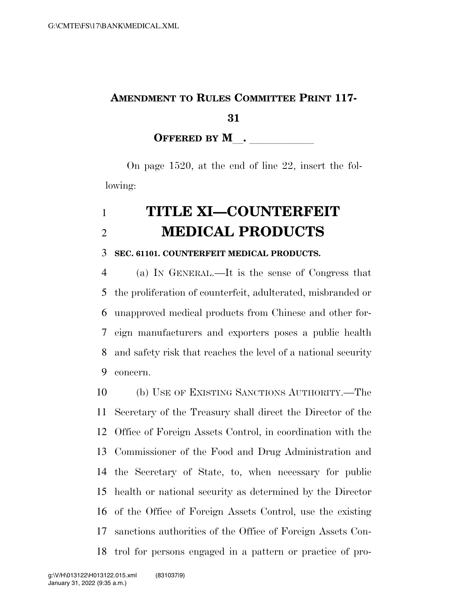## **AMENDMENT TO RULES COMMITTEE PRINT 117-**

**OFFERED BY M**.

On page 1520, at the end of line 22, insert the following:

## **TITLE XI—COUNTERFEIT MEDICAL PRODUCTS**

## **SEC. 61101. COUNTERFEIT MEDICAL PRODUCTS.**

 (a) IN GENERAL.—It is the sense of Congress that the proliferation of counterfeit, adulterated, misbranded or unapproved medical products from Chinese and other for- eign manufacturers and exporters poses a public health and safety risk that reaches the level of a national security concern.

 (b) USE OF EXISTING SANCTIONS AUTHORITY.—The Secretary of the Treasury shall direct the Director of the Office of Foreign Assets Control, in coordination with the Commissioner of the Food and Drug Administration and the Secretary of State, to, when necessary for public health or national security as determined by the Director of the Office of Foreign Assets Control, use the existing sanctions authorities of the Office of Foreign Assets Con-trol for persons engaged in a pattern or practice of pro